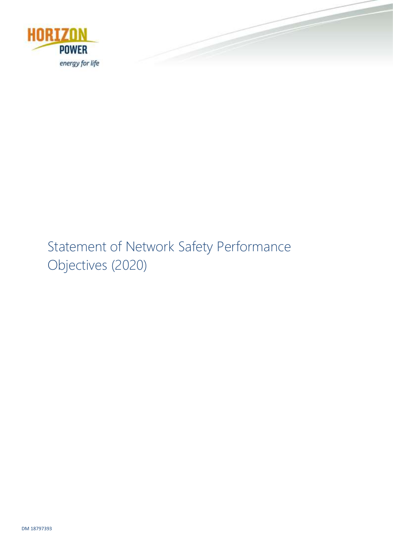

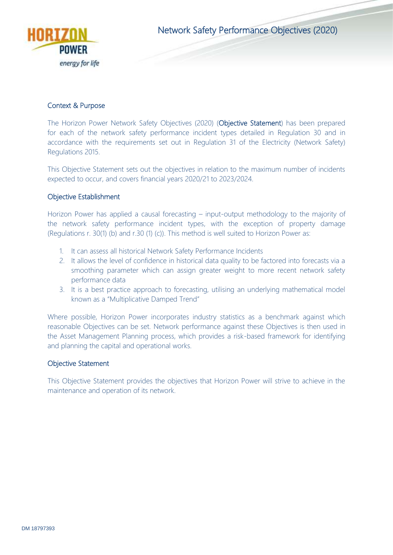

Network Safety Performance Objectives (2020)

## Context & Purpose

The Horizon Power Network Safety Objectives (2020) (Objective Statement) has been prepared for each of the network safety performance incident types detailed in Regulation 30 and in accordance with the requirements set out in Regulation 31 of the Electricity (Network Safety) Regulations 2015.

This Objective Statement sets out the objectives in relation to the maximum number of incidents expected to occur, and covers financial years 2020/21 to 2023/2024.

## Objective Establishment

Horizon Power has applied a causal forecasting – input-output methodology to the majority of the network safety performance incident types, with the exception of property damage (Regulations r. 30(1) (b) and r.30 (1) (c)). This method is well suited to Horizon Power as:

- 1. It can assess all historical Network Safety Performance Incidents
- 2. It allows the level of confidence in historical data quality to be factored into forecasts via a smoothing parameter which can assign greater weight to more recent network safety performance data
- 3. It is a best practice approach to forecasting, utilising an underlying mathematical model known as a "Multiplicative Damped Trend"

Where possible, Horizon Power incorporates industry statistics as a benchmark against which reasonable Objectives can be set. Network performance against these Objectives is then used in the Asset Management Planning process, which provides a risk-based framework for identifying and planning the capital and operational works.

#### Objective Statement

This Objective Statement provides the objectives that Horizon Power will strive to achieve in the maintenance and operation of its network.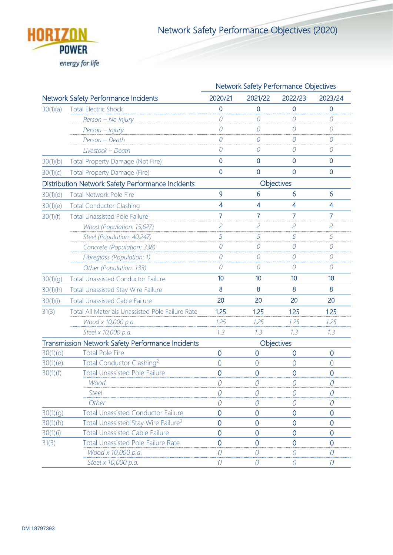

Network Safety Performance Objectives (2020)

|                                                          |                                                         | Network Safety Performance Objectives |                |                  |                             |
|----------------------------------------------------------|---------------------------------------------------------|---------------------------------------|----------------|------------------|-----------------------------|
|                                                          | <b>Network Safety Performance Incidents</b>             | 2020/21                               | 2021/22        | 2022/23          | 2023/24                     |
| 30(1)(a)                                                 | <b>Total Electric Shock</b>                             | 0                                     | 0              | $\overline{0}$   | 0                           |
|                                                          | Person - No Injury                                      | 0                                     | 0              | $\Omega$         | 0                           |
|                                                          | Person - Injury                                         | 0                                     | ${\cal O}$     | $\mathcal O$     | ${\cal O}$                  |
|                                                          | Person - Death                                          | 0                                     | 0              | $\overline{O}$   | 0                           |
|                                                          | Livestock - Death                                       | 0                                     | 0              | 0                | 0                           |
| 30(1)(b)                                                 | Total Property Damage (Not Fire)                        | $\overline{0}$                        | $\mathbf 0$    | $\mathbf{0}$     | $\mathbf 0$                 |
| 30(1)(c)                                                 | Total Property Damage (Fire)                            | $\overline{0}$                        | $\mathbf{0}$   | $\overline{0}$   | $\overline{0}$              |
|                                                          | Distribution Network Safety Performance Incidents       |                                       | Objectives     |                  |                             |
| 30(1)(d)                                                 | <b>Total Network Pole Fire</b>                          | 9                                     | 6              | $6\phantom{1}6$  | 6                           |
| 30(1)(e)                                                 | <b>Total Conductor Clashing</b>                         | $\overline{4}$                        | 4              | $\overline{4}$   | 4                           |
| 30(1)(f)                                                 | Total Unassisted Pole Failure <sup>1</sup>              | $\overline{7}$                        | 7              | 7                | $\overline{7}$              |
|                                                          | Wood (Population: 15,627)                               | $\overline{c}$                        | $\overline{c}$ | $\overline{c}$   | $\mathcal{L}_{\mathcal{L}}$ |
|                                                          | Steel (Population: 40,247)                              | 5                                     | 5              | 5                | 5                           |
|                                                          | Concrete (Population: 338)                              | 0                                     | 0              | $\overline{O}$   | 0                           |
|                                                          | Fibreglass (Population: 1)                              | 0                                     | 0              | $\overline{O}$   | $\mathcal O$                |
|                                                          | Other (Population: 133)                                 | 0                                     | 0              | $\Omega$         | 0                           |
| 30(1)(g)                                                 | <b>Total Unassisted Conductor Failure</b>               | 10                                    | 10             | 10               | 10                          |
| 30(1)(h)                                                 | Total Unassisted Stay Wire Failure                      | 8                                     | 8              | 8                | 8                           |
| 30(1)(i)                                                 | <b>Total Unassisted Cable Failure</b>                   | 20                                    | 20             | 20               | 20                          |
| 31(3)                                                    | <b>Total All Materials Unassisted Pole Failure Rate</b> | 1.25                                  | 1.25           | 1.25             | 1.25                        |
|                                                          | Wood x 10,000 p.a.                                      | 7.25                                  | 1.25           | 1.25             | 1.25                        |
|                                                          | Steel x 10,000 p.a.                                     | 7.3                                   | 7.3            | 7.3              | 7.3                         |
| <b>Transmission Network Safety Performance Incidents</b> |                                                         |                                       | Objectives     |                  |                             |
| 30(1)(d)                                                 | <b>Total Pole Fire</b>                                  | $\overline{0}$                        | $\overline{0}$ | $\overline{0}$   | $\mathbf 0$                 |
| 30(1)(e)                                                 | Total Conductor Clashing <sup>2</sup>                   | $\overline{0}$                        | $\overline{0}$ | $\overline{0}$   | $\overline{0}$              |
| 30(1)(f)                                                 | <b>Total Unassisted Pole Failure</b>                    | $\overline{0}$                        | $\overline{0}$ | $\overline{0}$   | $\mathbf 0$                 |
|                                                          | Wood                                                    | 0                                     | 0              | 0                | 0                           |
|                                                          | <b>Steel</b>                                            | N                                     | O              | $\Omega$         | 0                           |
|                                                          | Other                                                   |                                       | 0              | $\left( \right)$ | 0                           |
| 30(1)(g)                                                 | <b>Total Unassisted Conductor Failure</b>               | $\overline{0}$                        | $\overline{0}$ | $\Omega$         | $\overline{0}$              |
| 30(1)(h)                                                 | Total Unassisted Stay Wire Failure <sup>3</sup>         | 0                                     | 0              | 0                | $\overline{0}$              |
| 30(1)(i)                                                 | <b>Total Unassisted Cable Failure</b>                   | $\overline{0}$                        | $\overline{0}$ | $\overline{0}$   | $\overline{0}$              |
| 31(3)                                                    | <b>Total Unassisted Pole Failure Rate</b>               | $\overline{0}$                        | $\overline{0}$ | $\overline{0}$   | $\overline{0}$              |
|                                                          | Wood x 10,000 p.a.                                      | 0                                     | $\overline{O}$ | 0                | 0                           |
|                                                          | Steel x 10,000 p.a.                                     | 0                                     | 0              | $\left( \right)$ | 0                           |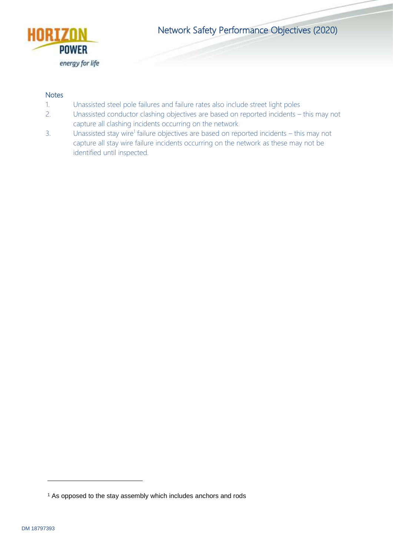

Network Safety Performance Objectives (2020)

## **Notes**

- 1. Unassisted steel pole failures and failure rates also include street light poles
- 2. Unassisted conductor clashing objectives are based on reported incidents this may not capture all clashing incidents occurring on the network
- 3. Unassisted stay wire<sup>1</sup> failure objectives are based on reported incidents this may not capture all stay wire failure incidents occurring on the network as these may not be identified until inspected.

-

<sup>&</sup>lt;sup>1</sup> As opposed to the stay assembly which includes anchors and rods